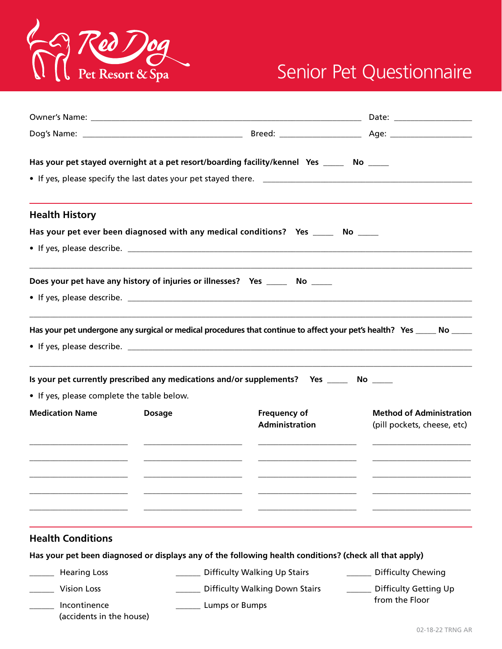

## Senior Pet Questionnaire

|                                            |               | Has your pet stayed overnight at a pet resort/boarding facility/kennel Yes _____ No _____                               |                                                                |
|--------------------------------------------|---------------|-------------------------------------------------------------------------------------------------------------------------|----------------------------------------------------------------|
| <b>Health History</b>                      |               |                                                                                                                         |                                                                |
|                                            |               | Has your pet ever been diagnosed with any medical conditions? Yes ______ No _____                                       |                                                                |
|                                            |               |                                                                                                                         |                                                                |
|                                            |               | Does your pet have any history of injuries or illnesses? Yes ______ No _____                                            |                                                                |
|                                            |               | Has your pet undergone any surgical or medical procedures that continue to affect your pet's health? Yes _____ No _____ |                                                                |
|                                            |               | Is your pet currently prescribed any medications and/or supplements? Yes ______ No _____                                |                                                                |
| • If yes, please complete the table below. |               |                                                                                                                         |                                                                |
| <b>Medication Name</b>                     | <b>Dosage</b> | Frequency of<br><b>Administration</b>                                                                                   | <b>Method of Administration</b><br>(pill pockets, cheese, etc) |
|                                            |               |                                                                                                                         |                                                                |
| <b>Health Conditions</b>                   |               |                                                                                                                         |                                                                |
|                                            |               | Has your pet been diagnosed or displays any of the following health conditions? (check all that apply)                  |                                                                |
| <b>Hearing Loss</b>                        |               | ___ Difficulty Walking Up Stairs                                                                                        | <b>Difficulty Chewing</b>                                      |
| <b>Vision Loss</b>                         |               | Difficulty Walking Down Stairs                                                                                          | <b>Difficulty Getting Up</b>                                   |
| Incontinence<br>(accidents in the house)   |               | <b>Lumps or Bumps</b>                                                                                                   | from the Floor                                                 |